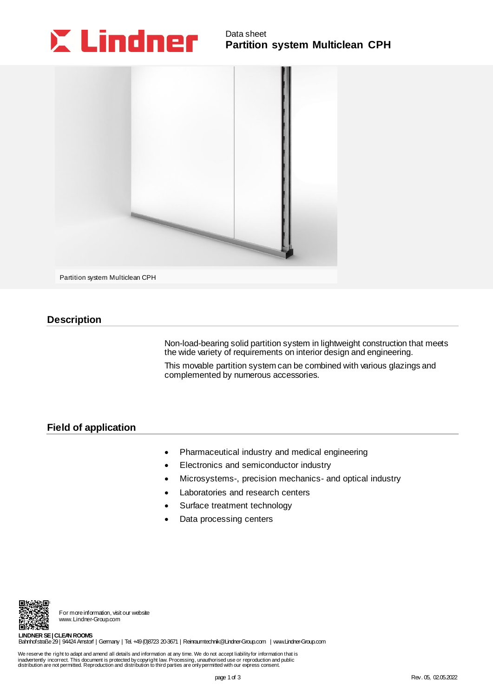## Data sheet **Partition system Multiclean CPH**





Partition system Multiclean CPH

## **Description**

Non-load-bearing solid partition system in lightweight construction that meets the wide variety of requirements on interior design and engineering.

This movable partition system can be combined with various glazings and complemented by numerous accessories.

## **Description<br>Field of app Field of application**

- Pharmaceutical industry and medical engineering
- Electronics and semiconductor industry
- Microsystems-, precision mechanics- and optical industry
- Laboratories and research centers
- Surface treatment technology
- Data processing centers



For more information, visit our website www.Lindner-Group.com

**LINDNER SE | CLEAN ROOMS** Bahnhofstraße 29 | 94424 Arnstorf | Germany | Tel. +49 (0)8723 20-3671 | [Reinraumtechnik@Lindner-Group.com](mailto:Reinraumtechnik@Lindner-Group.com) | [www.Lindner-Group.com](http://www.lindner-group.com/)

We reserve the right to adapt and amend all details and information at any time. We do not accept liabilityfor information that is<br>inadvertently incorrect. This document is protected by copyright law. Processing, unauthori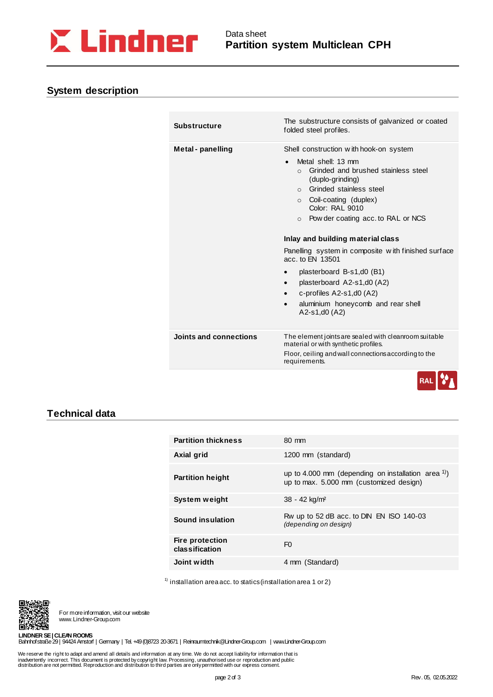

# **System description** en **System description**

| <b>Substructure</b>    | The substructure consists of galvanized or coated<br>folded steel profiles.                                                                                                                                                                                                                                                                                                                                                                                                                                                                                                                         |
|------------------------|-----------------------------------------------------------------------------------------------------------------------------------------------------------------------------------------------------------------------------------------------------------------------------------------------------------------------------------------------------------------------------------------------------------------------------------------------------------------------------------------------------------------------------------------------------------------------------------------------------|
| Metal - panelling      | Shell construction with hook-on system<br>Metal shell: 13 mm<br>Grinded and brushed stainless steel<br>$\Omega$<br>(duplo-grinding)<br>Grinded stainless steel<br>$\cap$<br>Coil-coating (duplex)<br>$\circ$<br>Color: RAI 9010<br>$\circ$ Pow der coating acc. to RAL or NCS<br>Inlay and building material class<br>Panelling system in composite with finished surface<br>acc. to FN 13501<br>plasterboard B-s1,d0 (B1)<br>$\bullet$<br>plasterboard A2-s1,d0 (A2)<br>$\bullet$<br>c-profiles $A2-s1, d0 (A2)$<br>$\bullet$<br>aluminium honeycomb and rear shell<br>$\bullet$<br>$A2-s1,d0(A2)$ |
| Joints and connections | The element joints are sealed with cleanroom suitable<br>material or with synthetic profiles.<br>Floor, ceiling and wall connections according to the<br>requirements.                                                                                                                                                                                                                                                                                                                                                                                                                              |



## **Technical data**

| <b>Partition thickness</b>               | 80 mm                                                                                               |
|------------------------------------------|-----------------------------------------------------------------------------------------------------|
| Axial grid                               | 1200 mm (standard)                                                                                  |
| <b>Partition height</b>                  | up to 4.000 mm (depending on installation area $^{1)}$ )<br>up to max. 5.000 mm (customized design) |
| System weight                            | 38 - 42 kg/m <sup>2</sup>                                                                           |
| Sound insulation                         | Rw up to 52 dB acc. to DIN EN ISO 140-03<br>(depending on design)                                   |
| <b>Fire protection</b><br>classification | F <sub>0</sub>                                                                                      |
| Joint width                              | 4 mm (Standard)                                                                                     |

 $1)$  installation area acc. to statics (installation area 1 or 2)



For more information, visit our website www.Lindner-Group.com

**LINDNER SE | CLEAN ROOMS** Bahnhofstraße 29 | 94424 Arnstorf | Germany | Tel. +49 (0)8723 20-3671 | [Reinraumtechnik@Lindner-Group.com](mailto:Reinraumtechnik@Lindner-Group.com) | [www.Lindner-Group.com](http://www.lindner-group.com/)

We reserve the right to adapt and amend all details and information at any time. We do not accept liabilityfor information that is<br>inadvertently incorrect. This document is protected by copyright law. Processing, unauthori